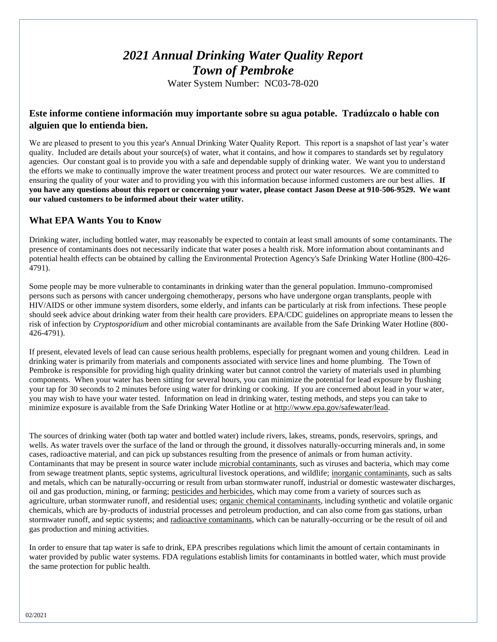# *2021 Annual Drinking Water Quality Report Town of Pembroke*

Water System Number: NC03-78-020

# **Este informe contiene información muy importante sobre su agua potable. Tradúzcalo o hable con alguien que lo entienda bien.**

We are pleased to present to you this year's Annual Drinking Water Quality Report. This report is a snapshot of last year's water quality. Included are details about your source(s) of water, what it contains, and how it compares to standards set by regulatory agencies. Our constant goal is to provide you with a safe and dependable supply of drinking water. We want you to understand the efforts we make to continually improve the water treatment process and protect our water resources. We are committed to ensuring the quality of your water and to providing you with this information because informed customers are our best allies. **If you have any questions about this report or concerning your water, please contact Jason Deese at 910-506-9529. We want our valued customers to be informed about their water utility.** 

# **What EPA Wants You to Know**

Drinking water, including bottled water, may reasonably be expected to contain at least small amounts of some contaminants. The presence of contaminants does not necessarily indicate that water poses a health risk. More information about contaminants and potential health effects can be obtained by calling the Environmental Protection Agency's Safe Drinking Water Hotline (800-426- 4791).

Some people may be more vulnerable to contaminants in drinking water than the general population. Immuno-compromised persons such as persons with cancer undergoing chemotherapy, persons who have undergone organ transplants, people with HIV/AIDS or other immune system disorders, some elderly, and infants can be particularly at risk from infections. These people should seek advice about drinking water from their health care providers. EPA/CDC guidelines on appropriate means to lessen the risk of infection by *Cryptosporidium* and other microbial contaminants are available from the Safe Drinking Water Hotline (800- 426-4791).

If present, elevated levels of lead can cause serious health problems, especially for pregnant women and young children. Lead in drinking water is primarily from materials and components associated with service lines and home plumbing. The Town of Pembroke is responsible for providing high quality drinking water but cannot control the variety of materials used in plumbing components. When your water has been sitting for several hours, you can minimize the potential for lead exposure by flushing your tap for 30 seconds to 2 minutes before using water for drinking or cooking. If you are concerned about lead in your water, you may wish to have your water tested. Information on lead in drinking water, testing methods, and steps you can take to minimize exposure is available from the Safe Drinking Water Hotline or at [http://www.epa.gov/safewater/lead.](http://www.epa.gov/safewater/lead)

The sources of drinking water (both tap water and bottled water) include rivers, lakes, streams, ponds, reservoirs, springs, and wells. As water travels over the surface of the land or through the ground, it dissolves naturally-occurring minerals and, in some cases, radioactive material, and can pick up substances resulting from the presence of animals or from human activity. Contaminants that may be present in source water include microbial contaminants, such as viruses and bacteria, which may come from sewage treatment plants, septic systems, agricultural livestock operations, and wildlife; inorganic contaminants, such as salts and metals, which can be naturally-occurring or result from urban stormwater runoff, industrial or domestic wastewater discharges, oil and gas production, mining, or farming; pesticides and herbicides, which may come from a variety of sources such as agriculture, urban stormwater runoff, and residential uses; organic chemical contaminants, including synthetic and volatile organic chemicals, which are by-products of industrial processes and petroleum production, and can also come from gas stations, urban stormwater runoff, and septic systems; and radioactive contaminants, which can be naturally-occurring or be the result of oil and gas production and mining activities.

In order to ensure that tap water is safe to drink, EPA prescribes regulations which limit the amount of certain contaminants in water provided by public water systems. FDA regulations establish limits for contaminants in bottled water, which must provide the same protection for public health.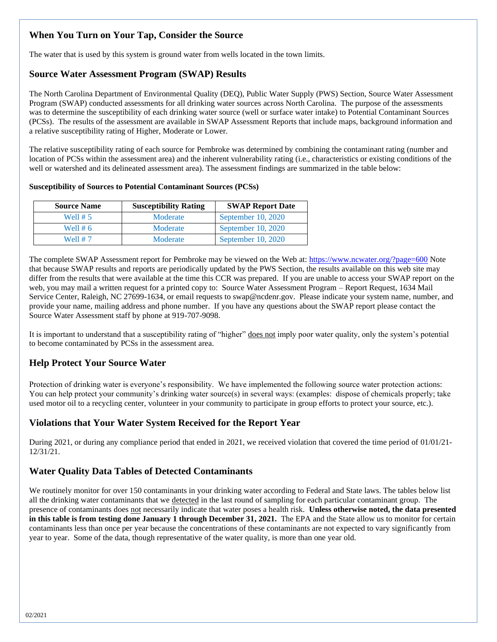# **When You Turn on Your Tap, Consider the Source**

The water that is used by this system is ground water from wells located in the town limits.

# **Source Water Assessment Program (SWAP) Results**

The North Carolina Department of Environmental Quality (DEQ), Public Water Supply (PWS) Section, Source Water Assessment Program (SWAP) conducted assessments for all drinking water sources across North Carolina. The purpose of the assessments was to determine the susceptibility of each drinking water source (well or surface water intake) to Potential Contaminant Sources (PCSs). The results of the assessment are available in SWAP Assessment Reports that include maps, background information and a relative susceptibility rating of Higher, Moderate or Lower.

The relative susceptibility rating of each source for Pembroke was determined by combining the contaminant rating (number and location of PCSs within the assessment area) and the inherent vulnerability rating (i.e., characteristics or existing conditions of the well or watershed and its delineated assessment area). The assessment findings are summarized in the table below:

### **Susceptibility of Sources to Potential Contaminant Sources (PCSs)**

| <b>Source Name</b> | <b>Susceptibility Rating</b> | <b>SWAP Report Date</b> |
|--------------------|------------------------------|-------------------------|
| Well $# 5$         | Moderate                     | September 10, 2020      |
| Well $# 6$         | Moderate                     | September $10, 2020$    |
| Well # 7           | Moderate                     | September 10, 2020      |

The complete SWAP Assessment report for Pembroke may be viewed on the Web at:<https://www.ncwater.org/?page=600> Note that because SWAP results and reports are periodically updated by the PWS Section, the results available on this web site may differ from the results that were available at the time this CCR was prepared. If you are unable to access your SWAP report on the web, you may mail a written request for a printed copy to: Source Water Assessment Program – Report Request, 1634 Mail Service Center, Raleigh, NC 27699-1634, or email requests to swap@ncdenr.gov. Please indicate your system name, number, and provide your name, mailing address and phone number. If you have any questions about the SWAP report please contact the Source Water Assessment staff by phone at 919-707-9098.

It is important to understand that a susceptibility rating of "higher" does not imply poor water quality, only the system's potential to become contaminated by PCSs in the assessment area.

# **Help Protect Your Source Water**

Protection of drinking water is everyone's responsibility. We have implemented the following source water protection actions: You can help protect your community's drinking water source(s) in several ways: (examples: dispose of chemicals properly; take used motor oil to a recycling center, volunteer in your community to participate in group efforts to protect your source, etc.).

# **Violations that Your Water System Received for the Report Year**

During 2021, or during any compliance period that ended in 2021, we received violation that covered the time period of 01/01/21- 12/31/21.

# **Water Quality Data Tables of Detected Contaminants**

We routinely monitor for over 150 contaminants in your drinking water according to Federal and State laws. The tables below list all the drinking water contaminants that we detected in the last round of sampling for each particular contaminant group. The presence of contaminants does not necessarily indicate that water poses a health risk. **Unless otherwise noted, the data presented in this table is from testing done January 1 through December 31, 2021.** The EPA and the State allow us to monitor for certain contaminants less than once per year because the concentrations of these contaminants are not expected to vary significantly from year to year. Some of the data, though representative of the water quality, is more than one year old.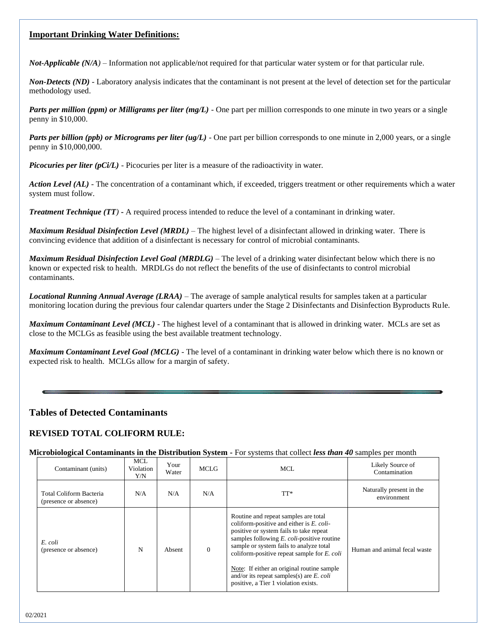### **Important Drinking Water Definitions:**

*Not-Applicable (N/A)* – Information not applicable/not required for that particular water system or for that particular rule.

*Non-Detects (ND)* - Laboratory analysis indicates that the contaminant is not present at the level of detection set for the particular methodology used.

*Parts per million (ppm) or Milligrams per liter (mg/L)* - One part per million corresponds to one minute in two years or a single penny in \$10,000.

*Parts per billion (ppb) or Micrograms per liter (ug/L)* - One part per billion corresponds to one minute in 2,000 years, or a single penny in \$10,000,000.

*Picocuries per liter (pCi/L)* - Picocuries per liter is a measure of the radioactivity in water.

*Action Level (AL) -* The concentration of a contaminant which, if exceeded, triggers treatment or other requirements which a water system must follow.

*Treatment Technique (TT)* **-** A required process intended to reduce the level of a contaminant in drinking water.

*Maximum Residual Disinfection Level (MRDL)* – The highest level of a disinfectant allowed in drinking water. There is convincing evidence that addition of a disinfectant is necessary for control of microbial contaminants.

*Maximum Residual Disinfection Level Goal (MRDLG)* – The level of a drinking water disinfectant below which there is no known or expected risk to health. MRDLGs do not reflect the benefits of the use of disinfectants to control microbial contaminants.

*Locational Running Annual Average (LRAA)* – The average of sample analytical results for samples taken at a particular monitoring location during the previous four calendar quarters under the Stage 2 Disinfectants and Disinfection Byproducts Rule.

*Maximum Contaminant Level (MCL)* - The highest level of a contaminant that is allowed in drinking water. MCLs are set as close to the MCLGs as feasible using the best available treatment technology.

*Maximum Contaminant Level Goal (MCLG)* - The level of a contaminant in drinking water below which there is no known or expected risk to health. MCLGs allow for a margin of safety.

### **Tables of Detected Contaminants**

### **REVISED TOTAL COLIFORM RULE:**

**Microbiological Contaminants in the Distribution System -** For systems that collect *less than 40* samples per month

| Contaminant (units)                              | <b>MCL</b><br>Violation<br>Y/N | Your<br>Water | MCLG           | MCL.                                                                                                                                                                                                                                                                                                                                                                                                                | Likely Source of<br>Contamination       |
|--------------------------------------------------|--------------------------------|---------------|----------------|---------------------------------------------------------------------------------------------------------------------------------------------------------------------------------------------------------------------------------------------------------------------------------------------------------------------------------------------------------------------------------------------------------------------|-----------------------------------------|
| Total Coliform Bacteria<br>(presence or absence) | N/A                            | N/A           | N/A            | $TT^*$                                                                                                                                                                                                                                                                                                                                                                                                              | Naturally present in the<br>environment |
| E. coli<br>(presence or absence)                 | N                              | Absent        | $\overline{0}$ | Routine and repeat samples are total<br>coliform-positive and either is E. coli-<br>positive or system fails to take repeat<br>samples following $E$ , <i>coli</i> -positive routine<br>sample or system fails to analyze total<br>coliform-positive repeat sample for E. coli<br>Note: If either an original routine sample<br>and/or its repeat samples(s) are $E$ . coli<br>positive, a Tier 1 violation exists. | Human and animal fecal waste            |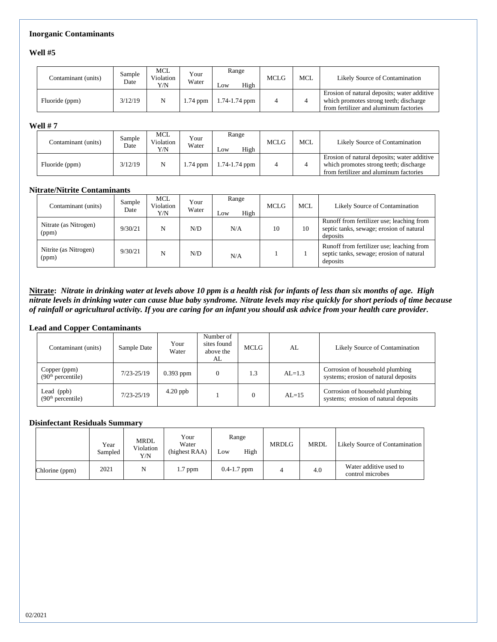### **Inorganic Contaminants**

**Well #5**

| Contaminant (units) | Sample<br>Date | <b>MCL</b><br>Violation<br>Y/N | Your<br>Water | Range<br>High<br>Low | <b>MCLG</b> | <b>MCL</b> | Likely Source of Contamination                                                                                                  |
|---------------------|----------------|--------------------------------|---------------|----------------------|-------------|------------|---------------------------------------------------------------------------------------------------------------------------------|
| Fluoride (ppm)      | 3/12/19        |                                | $1.74$ ppm    | $1.74 - 1.74$ ppm    |             |            | Erosion of natural deposits; water additive<br>which promotes strong teeth; discharge<br>from fertilizer and aluminum factories |

#### **Well # 7**

| Contaminant (units) | Sample<br>Date | MCL<br>Violation<br>Y/N | Your<br>Water | Range<br>High<br>Low | <b>MCLG</b> | <b>MCL</b> | Likely Source of Contamination                                                                                                  |
|---------------------|----------------|-------------------------|---------------|----------------------|-------------|------------|---------------------------------------------------------------------------------------------------------------------------------|
| Fluoride (ppm)      | 3/12/19        |                         | $1.74$ ppm    | 1.74-1.74 ppm        |             |            | Erosion of natural deposits; water additive<br>which promotes strong teeth; discharge<br>from fertilizer and aluminum factories |

#### **Nitrate/Nitrite Contaminants**

| Contaminant (units)            | Sample<br>Date | <b>MCL</b><br>Violation<br>Y/N | Your<br>Water | Range<br>High<br>Low | MCLG | <b>MCL</b> | Likely Source of Contamination                                                                    |
|--------------------------------|----------------|--------------------------------|---------------|----------------------|------|------------|---------------------------------------------------------------------------------------------------|
| Nitrate (as Nitrogen)<br>(ppm) | 9/30/21        | N                              | N/D           | N/A                  | 10   | 10         | Runoff from fertilizer use; leaching from<br>septic tanks, sewage; erosion of natural<br>deposits |
| Nitrite (as Nitrogen)<br>(ppm) | 9/30/21        | N                              | N/D           | N/A                  |      |            | Runoff from fertilizer use; leaching from<br>septic tanks, sewage; erosion of natural<br>deposits |

**Nitrate:** *Nitrate in drinking water at levels above 10 ppm is a health risk for infants of less than six months of age. High nitrate levels in drinking water can cause blue baby syndrome. Nitrate levels may rise quickly for short periods of time because of rainfall or agricultural activity. If you are caring for an infant you should ask advice from your health care provider.* 

#### **Lead and Copper Contaminants**

| Contaminant (units)                           | Sample Date    | Your<br>Water | Number of<br>sites found<br>above the<br>AL | MCLG | AL        | Likely Source of Contamination                                          |
|-----------------------------------------------|----------------|---------------|---------------------------------------------|------|-----------|-------------------------------------------------------------------------|
| Copper (ppm)<br>(90 <sup>th</sup> percentile) | $7/23 - 25/19$ | $0.393$ ppm   |                                             | 1.3  | $AL=1.3$  | Corrosion of household plumbing<br>systems; erosion of natural deposits |
| Lead (ppb)<br>(90 <sup>th</sup> percentile)   | $7/23 - 25/19$ | $4.20$ ppb    |                                             |      | $AI = 15$ | Corrosion of household plumbing<br>systems; erosion of natural deposits |

#### **Disinfectant Residuals Summary**

|                | Year<br>Sampled | MRDL<br>Violation<br>Y/N | Your<br>Water<br>(highest RAA) | Range<br>High<br>Low | <b>MRDLG</b> | <b>MRDL</b> | <b>Likely Source of Contamination</b>      |
|----------------|-----------------|--------------------------|--------------------------------|----------------------|--------------|-------------|--------------------------------------------|
| Chlorine (ppm) | 2021            | N                        | $1.7$ ppm                      | $0.4 - 1.7$ ppm      |              | 4.0         | Water additive used to<br>control microbes |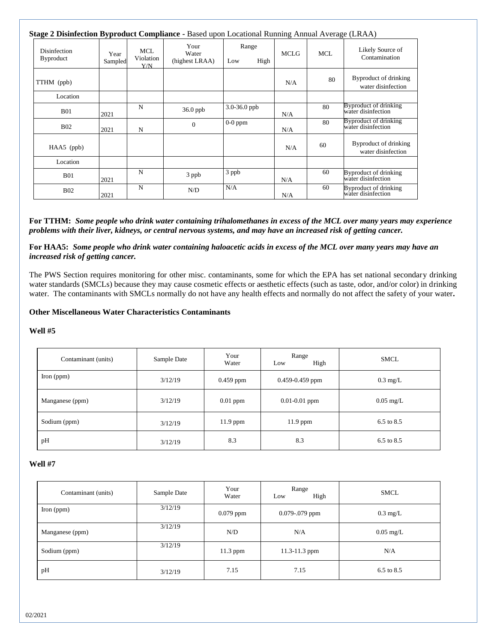| Stage 2 Disinfection Byproduct Compliance - Based upon Locational Running Annual Average (LRAA) |                 |                         |                                 |                      |             |     |                                             |
|-------------------------------------------------------------------------------------------------|-----------------|-------------------------|---------------------------------|----------------------|-------------|-----|---------------------------------------------|
| Disinfection<br><b>Byproduct</b>                                                                | Year<br>Sampled | MCL<br>Violation<br>Y/N | Your<br>Water<br>(highest LRAA) | Range<br>High<br>Low | <b>MCLG</b> | MCL | Likely Source of<br>Contamination           |
| TTHM (ppb)                                                                                      |                 |                         |                                 |                      | N/A         | 80  | Byproduct of drinking<br>water disinfection |
| Location                                                                                        |                 |                         |                                 |                      |             |     |                                             |
| <b>B01</b>                                                                                      | 2021            | N                       | $36.0$ ppb                      | $3.0 - 36.0$ ppb     | N/A         | 80  | Byproduct of drinking<br>water disinfection |
| <b>B02</b>                                                                                      | 2021            | N                       | $\theta$                        | $0-0$ ppm            | N/A         | 80  | Byproduct of drinking<br>water disinfection |
| HAA5 (ppb)                                                                                      |                 |                         |                                 |                      | N/A         | 60  | Byproduct of drinking<br>water disinfection |
| Location                                                                                        |                 |                         |                                 |                      |             |     |                                             |
| <b>B01</b>                                                                                      | 2021            | N                       | 3 ppb                           | 3 ppb                | N/A         | 60  | Byproduct of drinking<br>water disinfection |
| <b>B02</b>                                                                                      | 2021            | N                       | N/D                             | N/A                  | N/A         | 60  | Byproduct of drinking<br>water disinfection |

**For TTHM:** *Some people who drink water containing trihalomethanes in excess of the MCL over many years may experience problems with their liver, kidneys, or central nervous systems, and may have an increased risk of getting cancer.*

**For HAA5:** *Some people who drink water containing haloacetic acids in excess of the MCL over many years may have an increased risk of getting cancer.*

The PWS Section requires monitoring for other misc. contaminants, some for which the EPA has set national secondary drinking water standards (SMCLs) because they may cause cosmetic effects or aesthetic effects (such as taste, odor, and/or color) in drinking water. The contaminants with SMCLs normally do not have any health effects and normally do not affect the safety of your water**.**

#### **Other Miscellaneous Water Characteristics Contaminants**

#### **Well #5**

| Contaminant (units) | Sample Date | Your<br>Water | Range<br>High<br>Low | <b>SMCL</b>           |
|---------------------|-------------|---------------|----------------------|-----------------------|
| Iron $(ppm)$        | 3/12/19     | $0.459$ ppm   | $0.459 - 0.459$ ppm  | $0.3 \text{ mg/L}$    |
| Manganese (ppm)     | 3/12/19     | $0.01$ ppm    | $0.01 - 0.01$ ppm    | $0.05 \text{ mg/L}$   |
| Sodium (ppm)        | 3/12/19     | $11.9$ ppm    | $11.9$ ppm           | 6.5 to 8.5            |
| pH                  | 3/12/19     |               | 8.3                  | $6.5 \text{ to } 8.5$ |

### **Well #7**

| Contaminant (units) | Sample Date | Your<br>Water | Range<br>High<br>Low | <b>SMCL</b>           |
|---------------------|-------------|---------------|----------------------|-----------------------|
| Iron $(ppm)$        | 3/12/19     | $0.079$ ppm   | $0.079 - 079$ ppm    | $0.3 \text{ mg/L}$    |
| Manganese (ppm)     | 3/12/19     | N/D           | N/A                  | $0.05 \text{ mg/L}$   |
| Sodium (ppm)        | 3/12/19     | 11.3 ppm      | $11.3 - 11.3$ ppm    | N/A                   |
| pH                  | 3/12/19     | 7.15          | 7.15                 | $6.5 \text{ to } 8.5$ |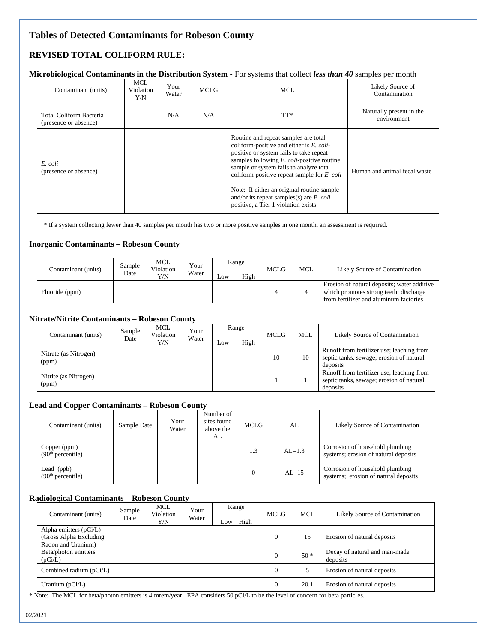# **Tables of Detected Contaminants for Robeson County**

# **REVISED TOTAL COLIFORM RULE:**

#### **Microbiological Contaminants in the Distribution System -** For systems that collect *less than 40* samples per month

| Contaminant (units)                              | <b>MCL</b><br>Violation<br>Y/N | Your<br>Water | <b>MCLG</b> | MCL.                                                                                                                                                                                                                                                                                                                                                                                                                      | Likely Source of<br>Contamination       |
|--------------------------------------------------|--------------------------------|---------------|-------------|---------------------------------------------------------------------------------------------------------------------------------------------------------------------------------------------------------------------------------------------------------------------------------------------------------------------------------------------------------------------------------------------------------------------------|-----------------------------------------|
| Total Coliform Bacteria<br>(presence or absence) |                                | N/A           | N/A         | TT*                                                                                                                                                                                                                                                                                                                                                                                                                       | Naturally present in the<br>environment |
| E. coli<br>(presence or absence)                 |                                |               |             | Routine and repeat samples are total<br>coliform-positive and either is $E$ . coli-<br>positive or system fails to take repeat<br>samples following $E$ . <i>coli</i> -positive routine<br>sample or system fails to analyze total<br>coliform-positive repeat sample for $E$ . coli<br>Note: If either an original routine sample<br>and/or its repeat samples(s) are $E$ . coli<br>positive, a Tier 1 violation exists. | Human and animal fecal waste            |

\* If a system collecting fewer than 40 samples per month has two or more positive samples in one month, an assessment is required.

#### **Inorganic Contaminants – Robeson County**

| Contaminant (units) | Sample<br>Date | MCL<br>Violation<br>Y/N | Your<br>Water | Range<br>High<br>Low | MCLG | <b>MCL</b> | Likely Source of Contamination                                                                                                  |
|---------------------|----------------|-------------------------|---------------|----------------------|------|------------|---------------------------------------------------------------------------------------------------------------------------------|
| Fluoride (ppm)      |                |                         |               |                      |      |            | Erosion of natural deposits; water additive<br>which promotes strong teeth; discharge<br>from fertilizer and aluminum factories |

### **Nitrate/Nitrite Contaminants – Robeson County**

| Contaminant (units)            | Sample<br>Date | MCL<br>Violation<br>Y/N | Your<br>Water | Low | Range<br>High | MCLG | <b>MCL</b> | Likely Source of Contamination                                                                    |
|--------------------------------|----------------|-------------------------|---------------|-----|---------------|------|------------|---------------------------------------------------------------------------------------------------|
| Nitrate (as Nitrogen)<br>(ppm) |                |                         |               |     |               | 10   | 10         | Runoff from fertilizer use; leaching from<br>septic tanks, sewage; erosion of natural<br>deposits |
| Nitrite (as Nitrogen)<br>(ppm) |                |                         |               |     |               |      |            | Runoff from fertilizer use; leaching from<br>septic tanks, sewage; erosion of natural<br>deposits |

#### **Lead and Copper Contaminants – Robeson County**

| Contaminant (units)                           | Sample Date | Your<br>Water | Number of<br>sites found<br>above the<br>AL | <b>MCLG</b> | AL        | Likely Source of Contamination                                          |
|-----------------------------------------------|-------------|---------------|---------------------------------------------|-------------|-----------|-------------------------------------------------------------------------|
| Copper (ppm)<br>(90 <sup>th</sup> percentile) |             |               |                                             | 1.3         | $AL=1.3$  | Corrosion of household plumbing<br>systems; erosion of natural deposits |
| Lead (ppb)<br>(90 <sup>th</sup> percentile)   |             |               |                                             |             | $AI = 15$ | Corrosion of household plumbing<br>systems; erosion of natural deposits |

#### **Radiological Contaminants – Robeson County**

| Contaminant (units)                                                       | Sample<br>Date | <b>MCL</b><br>Violation<br>Y/N | Your<br>Water | Range<br>Low | High | MCLG     | <b>MCL</b> | Likely Source of Contamination            |
|---------------------------------------------------------------------------|----------------|--------------------------------|---------------|--------------|------|----------|------------|-------------------------------------------|
| Alpha emitters $(pCi/L)$<br>(Gross Alpha Excluding)<br>Radon and Uranium) |                |                                |               |              |      | $\Omega$ | 15         | Erosion of natural deposits               |
| Beta/photon emitters<br>(pCi/L)                                           |                |                                |               |              |      | 0        | $50*$      | Decay of natural and man-made<br>deposits |
| Combined radium $(pCi/L)$                                                 |                |                                |               |              |      | $\Omega$ |            | Erosion of natural deposits               |
| Uranium $(pCi/L)$                                                         |                |                                |               |              |      |          | 20.1       | Erosion of natural deposits               |

\* Note: The MCL for beta/photon emitters is 4 mrem/year. EPA considers 50 pCi/L to be the level of concern for beta particles.